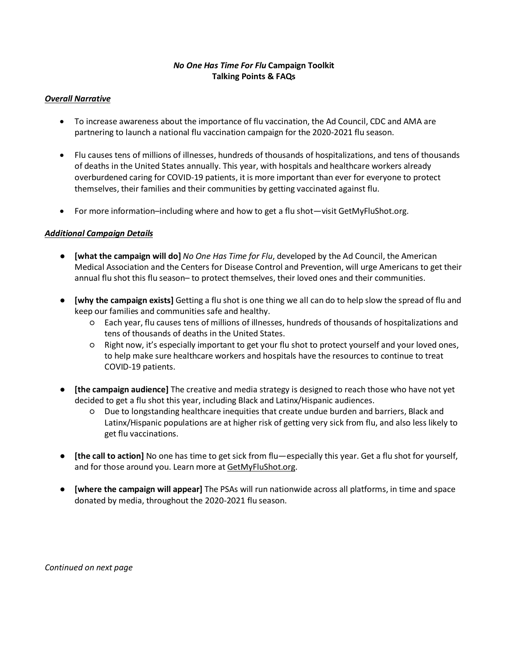# *No One Has Time For Flu* **Campaign Toolkit Talking Points & FAQs**

#### *Overall Narrative*

- To increase awareness about the importance of flu vaccination, the Ad Council, CDC and AMA are partnering to launch a national flu vaccination campaign for the 2020-2021 flu season.
- Flu causes tens of millions of illnesses, hundreds of thousands of hospitalizations, and tens of thousands of deaths in the United States annually. This year, with hospitals and healthcare workers already overburdened caring for COVID-19 patients, it is more important than ever for everyone to protect themselves, their families and their communities by getting vaccinated against flu.
- For more information–including where and how to get a flu shot—visit GetMyFluShot.org.

# *Additional Campaign Details*

- **[what the campaign will do]** *No One Has Time for Flu*, developed by the Ad Council, the American Medical Association and the Centers for Disease Control and Prevention, will urge Americans to get their annual flu shot this flu season– to protect themselves, their loved ones and their communities.
- **[why the campaign exists]** Getting a flu shot is one thing we all can do to help slow the spread of flu and keep our families and communities safe and healthy.
	- Each year, flu causes tens of millions of illnesses, hundreds of thousands of hospitalizations and tens of thousands of deaths in the United States.
	- Right now, it's especially important to get your flu shot to protect yourself and your loved ones, to help make sure healthcare workers and hospitals have the resources to continue to treat COVID-19 patients.
- **[the campaign audience]** The creative and media strategy is designed to reach those who have not yet decided to get a flu shot this year, including Black and Latinx/Hispanic audiences.
	- Due to longstanding healthcare inequities that create undue burden and barriers, Black and Latinx/Hispanic populations are at higher risk of getting very sick from flu, and also less likely to get flu vaccinations.
- **[the call to action]** No one has time to get sick from flu—especially this year. Get a flu shot for yourself, and for those around you. Learn more at GetMyFluShot.org.
- **[where the campaign will appear]** The PSAs will run nationwide across all platforms, in time and space donated by media, throughout the 2020-2021 flu season.

*Continued on next page*